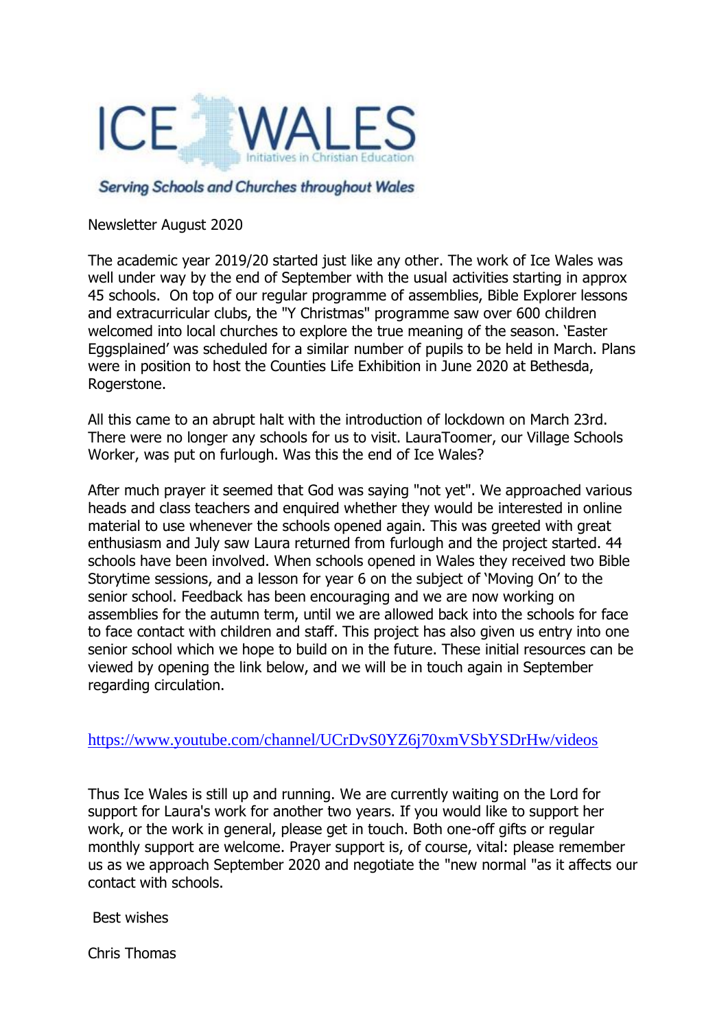

## Serving Schools and Churches throughout Wales

Newsletter August 2020

The academic year 2019/20 started just like any other. The work of Ice Wales was well under way by the end of September with the usual activities starting in approx 45 schools. On top of our regular programme of assemblies, Bible Explorer lessons and extracurricular clubs, the "Y Christmas" programme saw over 600 children welcomed into local churches to explore the true meaning of the season. 'Easter Eggsplained' was scheduled for a similar number of pupils to be held in March. Plans were in position to host the Counties Life Exhibition in June 2020 at Bethesda, Rogerstone.

All this came to an abrupt halt with the introduction of lockdown on March 23rd. There were no longer any schools for us to visit. LauraToomer, our Village Schools Worker, was put on furlough. Was this the end of Ice Wales?

After much prayer it seemed that God was saying "not yet". We approached various heads and class teachers and enquired whether they would be interested in online material to use whenever the schools opened again. This was greeted with great enthusiasm and July saw Laura returned from furlough and the project started. 44 schools have been involved. When schools opened in Wales they received two Bible Storytime sessions, and a lesson for year 6 on the subject of 'Moving On' to the senior school. Feedback has been encouraging and we are now working on assemblies for the autumn term, until we are allowed back into the schools for face to face contact with children and staff. This project has also given us entry into one senior school which we hope to build on in the future. These initial resources can be viewed by opening the link below, and we will be in touch again in September regarding circulation.

## <https://www.youtube.com/channel/UCrDvS0YZ6j70xmVSbYSDrHw/videos>

Thus Ice Wales is still up and running. We are currently waiting on the Lord for support for Laura's work for another two years. If you would like to support her work, or the work in general, please get in touch. Both one-off gifts or regular monthly support are welcome. Prayer support is, of course, vital: please remember us as we approach September 2020 and negotiate the "new normal "as it affects our contact with schools.

Best wishes

Chris Thomas